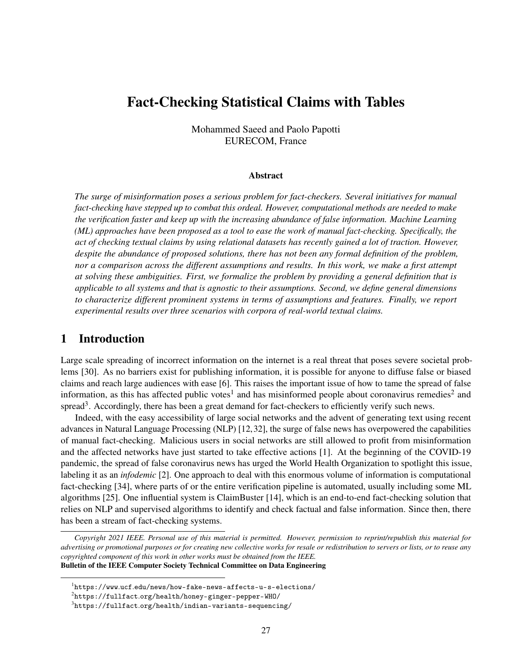# Fact-Checking Statistical Claims with Tables

Mohammed Saeed and Paolo Papotti EURECOM, France

#### Abstract

*The surge of misinformation poses a serious problem for fact-checkers. Several initiatives for manual fact-checking have stepped up to combat this ordeal. However, computational methods are needed to make the verification faster and keep up with the increasing abundance of false information. Machine Learning (ML) approaches have been proposed as a tool to ease the work of manual fact-checking. Specifically, the act of checking textual claims by using relational datasets has recently gained a lot of traction. However, despite the abundance of proposed solutions, there has not been any formal definition of the problem, nor a comparison across the different assumptions and results. In this work, we make a first attempt at solving these ambiguities. First, we formalize the problem by providing a general definition that is applicable to all systems and that is agnostic to their assumptions. Second, we define general dimensions to characterize different prominent systems in terms of assumptions and features. Finally, we report experimental results over three scenarios with corpora of real-world textual claims.*

# 1 Introduction

Large scale spreading of incorrect information on the internet is a real threat that poses severe societal problems [30]. As no barriers exist for publishing information, it is possible for anyone to diffuse false or biased claims and reach large audiences with ease [6]. This raises the important issue of how to tame the spread of false information, as this has affected public votes<sup>1</sup> and has misinformed people about coronavirus remedies<sup>2</sup> and spread<sup>3</sup>. Accordingly, there has been a great demand for fact-checkers to efficiently verify such news.

Indeed, with the easy accessibility of large social networks and the advent of generating text using recent advances in Natural Language Processing (NLP) [12, 32], the surge of false news has overpowered the capabilities of manual fact-checking. Malicious users in social networks are still allowed to profit from misinformation and the affected networks have just started to take effective actions [1]. At the beginning of the COVID-19 pandemic, the spread of false coronavirus news has urged the World Health Organization to spotlight this issue, labeling it as an *infodemic* [2]. One approach to deal with this enormous volume of information is computational fact-checking [34], where parts of or the entire verification pipeline is automated, usually including some ML algorithms [25]. One influential system is ClaimBuster [14], which is an end-to-end fact-checking solution that relies on NLP and supervised algorithms to identify and check factual and false information. Since then, there has been a stream of fact-checking systems.

*Copyright 2021 IEEE. Personal use of this material is permitted. However, permission to reprint/republish this material for advertising or promotional purposes or for creating new collective works for resale or redistribution to servers or lists, or to reuse any copyrighted component of this work in other works must be obtained from the IEEE.* Bulletin of the IEEE Computer Society Technical Committee on Data Engineering

 $1$ https://www.ucf.edu/news/how-fake-news-affects-u-s-elections/

 $^{2}$ https://fullfact.org/health/honey-ginger-pepper-WHO/

 $^3$ https://fullfact.org/health/indian-variants-sequencing/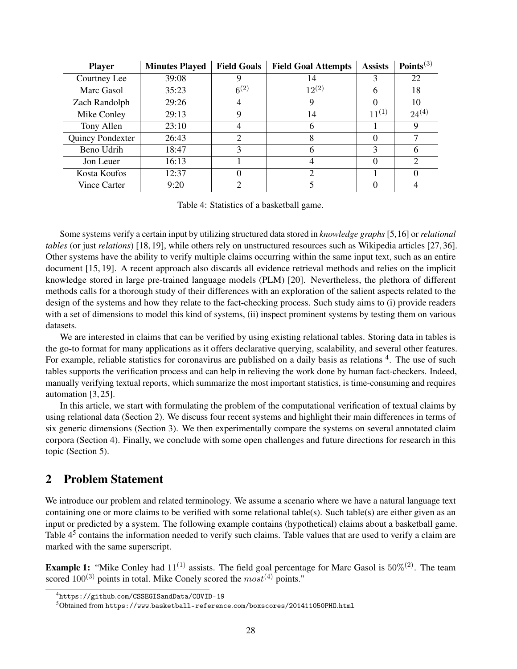| <b>Player</b>    | <b>Minutes Played</b> | <b>Field Goals</b> | <b>Field Goal Attempts</b>  | <b>Assists</b>   | Points <sup>(3)</sup> |
|------------------|-----------------------|--------------------|-----------------------------|------------------|-----------------------|
| Courtney Lee     | 39:08                 |                    | 14                          |                  | 22                    |
| Marc Gasol       | 35:23                 | $6^{(2)}$          | $12^{(2)}$                  | 6                | 18                    |
| Zach Randolph    | 29:26                 |                    | 9                           | $\Omega$         | 10                    |
| Mike Conley      | 29:13                 |                    | 14                          | $11^{(1)}$       | $24^{(4)}$            |
| Tony Allen       | 23:10                 |                    | 6                           |                  | 9                     |
| Quincy Pondexter | 26:43                 | 2                  | 8                           | $\theta$         |                       |
| Beno Udrih       | 18:47                 |                    | 6                           | 3                | 6                     |
| Jon Leuer        | 16:13                 |                    | 4                           | $\left( \right)$ | $\overline{c}$        |
| Kosta Koufos     | 12:37                 |                    | $\mathcal{D}_{\mathcal{L}}$ |                  |                       |
| Vince Carter     | 9:20                  | ⌒                  | $\overline{\mathbf{5}}$     |                  |                       |

Table 4: Statistics of a basketball game.

Some systems verify a certain input by utilizing structured data stored in *knowledge graphs* [5,16] or *relational tables* (or just *relations*) [18, 19], while others rely on unstructured resources such as Wikipedia articles [27, 36]. Other systems have the ability to verify multiple claims occurring within the same input text, such as an entire document [15, 19]. A recent approach also discards all evidence retrieval methods and relies on the implicit knowledge stored in large pre-trained language models (PLM) [20]. Nevertheless, the plethora of different methods calls for a thorough study of their differences with an exploration of the salient aspects related to the design of the systems and how they relate to the fact-checking process. Such study aims to (i) provide readers with a set of dimensions to model this kind of systems, (ii) inspect prominent systems by testing them on various datasets.

We are interested in claims that can be verified by using existing relational tables. Storing data in tables is the go-to format for many applications as it offers declarative querying, scalability, and several other features. For example, reliable statistics for coronavirus are published on a daily basis as relations <sup>4</sup>. The use of such tables supports the verification process and can help in relieving the work done by human fact-checkers. Indeed, manually verifying textual reports, which summarize the most important statistics, is time-consuming and requires automation [3, 25].

In this article, we start with formulating the problem of the computational verification of textual claims by using relational data (Section 2). We discuss four recent systems and highlight their main differences in terms of six generic dimensions (Section 3). We then experimentally compare the systems on several annotated claim corpora (Section 4). Finally, we conclude with some open challenges and future directions for research in this topic (Section 5).

# 2 Problem Statement

We introduce our problem and related terminology. We assume a scenario where we have a natural language text containing one or more claims to be verified with some relational table(s). Such table(s) are either given as an input or predicted by a system. The following example contains (hypothetical) claims about a basketball game. Table 4<sup>5</sup> contains the information needed to verify such claims. Table values that are used to verify a claim are marked with the same superscript.

**Example 1:** "Mike Conley had  $11^{(1)}$  assists. The field goal percentage for Marc Gasol is  $50\%^{(2)}$ . The team scored  $100^{(3)}$  points in total. Mike Conely scored the  $most^{(4)}$  points."

<sup>4</sup> https://github.com/CSSEGISandData/COVID-19

<sup>5</sup>Obtained from https://www.basketball-reference.com/boxscores/201411050PHO.html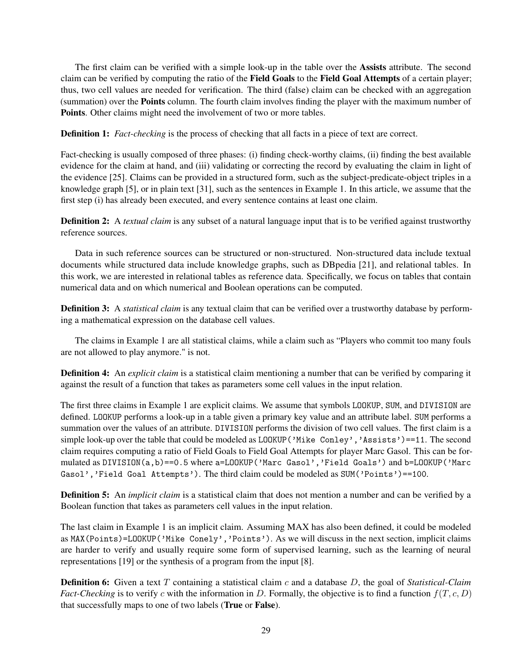The first claim can be verified with a simple look-up in the table over the Assists attribute. The second claim can be verified by computing the ratio of the Field Goals to the Field Goal Attempts of a certain player; thus, two cell values are needed for verification. The third (false) claim can be checked with an aggregation (summation) over the Points column. The fourth claim involves finding the player with the maximum number of Points. Other claims might need the involvement of two or more tables.

**Definition 1:** *Fact-checking* is the process of checking that all facts in a piece of text are correct.

Fact-checking is usually composed of three phases: (i) finding check-worthy claims, (ii) finding the best available evidence for the claim at hand, and (iii) validating or correcting the record by evaluating the claim in light of the evidence [25]. Claims can be provided in a structured form, such as the subject-predicate-object triples in a knowledge graph [5], or in plain text [31], such as the sentences in Example 1. In this article, we assume that the first step (i) has already been executed, and every sentence contains at least one claim.

**Definition 2:** A *textual claim* is any subset of a natural language input that is to be verified against trustworthy reference sources.

Data in such reference sources can be structured or non-structured. Non-structured data include textual documents while structured data include knowledge graphs, such as DBpedia [21], and relational tables. In this work, we are interested in relational tables as reference data. Specifically, we focus on tables that contain numerical data and on which numerical and Boolean operations can be computed.

**Definition 3:** A *statistical claim* is any textual claim that can be verified over a trustworthy database by performing a mathematical expression on the database cell values.

The claims in Example 1 are all statistical claims, while a claim such as "Players who commit too many fouls are not allowed to play anymore." is not.

Definition 4: An *explicit claim* is a statistical claim mentioning a number that can be verified by comparing it against the result of a function that takes as parameters some cell values in the input relation.

The first three claims in Example 1 are explicit claims. We assume that symbols LOOKUP, SUM, and DIVISION are defined. LOOKUP performs a look-up in a table given a primary key value and an attribute label. SUM performs a summation over the values of an attribute. DIVISION performs the division of two cell values. The first claim is a simple look-up over the table that could be modeled as LOOKUP ('Mike Conley', 'Assists')==11. The second claim requires computing a ratio of Field Goals to Field Goal Attempts for player Marc Gasol. This can be formulated as DIVISION(a,b)==0.5 where a=LOOKUP('Marc Gasol','Field Goals') and b=LOOKUP('Marc Gasol','Field Goal Attempts'). The third claim could be modeled as SUM('Points')==100.

Definition 5: An *implicit claim* is a statistical claim that does not mention a number and can be verified by a Boolean function that takes as parameters cell values in the input relation.

The last claim in Example 1 is an implicit claim. Assuming MAX has also been defined, it could be modeled as MAX(Points)=LOOKUP('Mike Conely','Points'). As we will discuss in the next section, implicit claims are harder to verify and usually require some form of supervised learning, such as the learning of neural representations [19] or the synthesis of a program from the input [8].

Definition 6: Given a text T containing a statistical claim c and a database D, the goal of *Statistical-Claim Fact-Checking* is to verify c with the information in D. Formally, the objective is to find a function  $f(T, c, D)$ that successfully maps to one of two labels (True or False).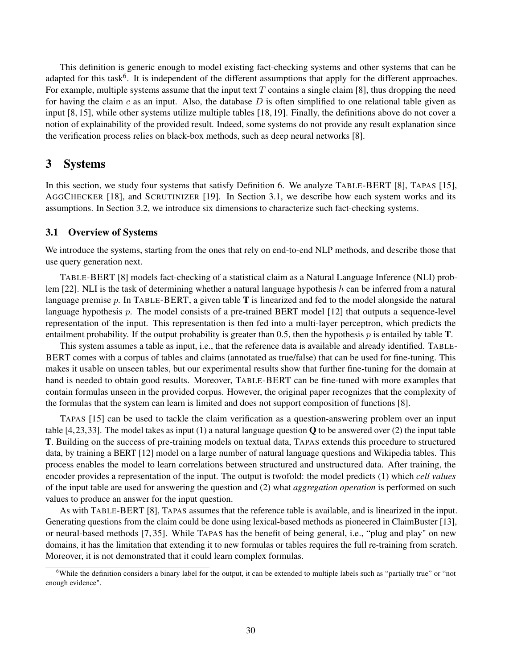This definition is generic enough to model existing fact-checking systems and other systems that can be adapted for this task<sup>6</sup>. It is independent of the different assumptions that apply for the different approaches. For example, multiple systems assume that the input text  $T$  contains a single claim [8], thus dropping the need for having the claim c as an input. Also, the database  $D$  is often simplified to one relational table given as input [8, 15], while other systems utilize multiple tables [18, 19]. Finally, the definitions above do not cover a notion of explainability of the provided result. Indeed, some systems do not provide any result explanation since the verification process relies on black-box methods, such as deep neural networks [8].

## 3 Systems

In this section, we study four systems that satisfy Definition 6. We analyze TABLE-BERT [8], TAPAS [15], AGGCHECKER [18], and SCRUTINIZER [19]. In Section 3.1, we describe how each system works and its assumptions. In Section 3.2, we introduce six dimensions to characterize such fact-checking systems.

#### 3.1 Overview of Systems

We introduce the systems, starting from the ones that rely on end-to-end NLP methods, and describe those that use query generation next.

TABLE-BERT [8] models fact-checking of a statistical claim as a Natural Language Inference (NLI) problem [22]. NLI is the task of determining whether a natural language hypothesis h can be inferred from a natural language premise  $p$ . In TABLE-BERT, a given table  $T$  is linearized and fed to the model alongside the natural language hypothesis  $p$ . The model consists of a pre-trained BERT model [12] that outputs a sequence-level representation of the input. This representation is then fed into a multi-layer perceptron, which predicts the entailment probability. If the output probability is greater than 0.5, then the hypothesis  $p$  is entailed by table  $T$ .

This system assumes a table as input, i.e., that the reference data is available and already identified. TABLE-BERT comes with a corpus of tables and claims (annotated as true/false) that can be used for fine-tuning. This makes it usable on unseen tables, but our experimental results show that further fine-tuning for the domain at hand is needed to obtain good results. Moreover, TABLE-BERT can be fine-tuned with more examples that contain formulas unseen in the provided corpus. However, the original paper recognizes that the complexity of the formulas that the system can learn is limited and does not support composition of functions [8].

TAPAS [15] can be used to tackle the claim verification as a question-answering problem over an input table [4,23,33]. The model takes as input (1) a natural language question  $\bf{Q}$  to be answered over (2) the input table T. Building on the success of pre-training models on textual data, TAPAS extends this procedure to structured data, by training a BERT [12] model on a large number of natural language questions and Wikipedia tables. This process enables the model to learn correlations between structured and unstructured data. After training, the encoder provides a representation of the input. The output is twofold: the model predicts (1) which *cell values* of the input table are used for answering the question and (2) what *aggregation operation* is performed on such values to produce an answer for the input question.

As with TABLE-BERT [8], TAPAS assumes that the reference table is available, and is linearized in the input. Generating questions from the claim could be done using lexical-based methods as pioneered in ClaimBuster [13], or neural-based methods [7, 35]. While TAPAS has the benefit of being general, i.e., "plug and play" on new domains, it has the limitation that extending it to new formulas or tables requires the full re-training from scratch. Moreover, it is not demonstrated that it could learn complex formulas.

<sup>&</sup>lt;sup>6</sup>While the definition considers a binary label for the output, it can be extended to multiple labels such as "partially true" or "not enough evidence".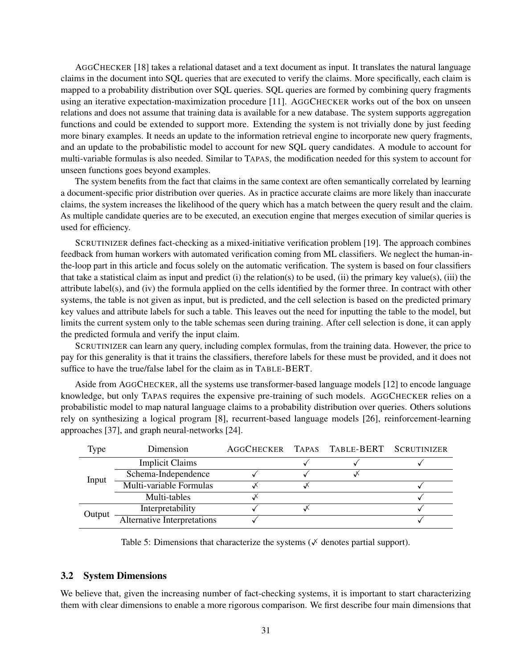AGGCHECKER [18] takes a relational dataset and a text document as input. It translates the natural language claims in the document into SQL queries that are executed to verify the claims. More specifically, each claim is mapped to a probability distribution over SQL queries. SQL queries are formed by combining query fragments using an iterative expectation-maximization procedure [11]. AGGCHECKER works out of the box on unseen relations and does not assume that training data is available for a new database. The system supports aggregation functions and could be extended to support more. Extending the system is not trivially done by just feeding more binary examples. It needs an update to the information retrieval engine to incorporate new query fragments, and an update to the probabilistic model to account for new SQL query candidates. A module to account for multi-variable formulas is also needed. Similar to TAPAS, the modification needed for this system to account for unseen functions goes beyond examples.

The system benefits from the fact that claims in the same context are often semantically correlated by learning a document-specific prior distribution over queries. As in practice accurate claims are more likely than inaccurate claims, the system increases the likelihood of the query which has a match between the query result and the claim. As multiple candidate queries are to be executed, an execution engine that merges execution of similar queries is used for efficiency.

SCRUTINIZER defines fact-checking as a mixed-initiative verification problem [19]. The approach combines feedback from human workers with automated verification coming from ML classifiers. We neglect the human-inthe-loop part in this article and focus solely on the automatic verification. The system is based on four classifiers that take a statistical claim as input and predict (i) the relation(s) to be used, (ii) the primary key value(s), (iii) the attribute label(s), and (iv) the formula applied on the cells identified by the former three. In contract with other systems, the table is not given as input, but is predicted, and the cell selection is based on the predicted primary key values and attribute labels for such a table. This leaves out the need for inputting the table to the model, but limits the current system only to the table schemas seen during training. After cell selection is done, it can apply the predicted formula and verify the input claim.

SCRUTINIZER can learn any query, including complex formulas, from the training data. However, the price to pay for this generality is that it trains the classifiers, therefore labels for these must be provided, and it does not suffice to have the true/false label for the claim as in TABLE-BERT.

Aside from AGGCHECKER, all the systems use transformer-based language models [12] to encode language knowledge, but only TAPAS requires the expensive pre-training of such models. AGGCHECKER relies on a probabilistic model to map natural language claims to a probability distribution over queries. Others solutions rely on synthesizing a logical program [8], recurrent-based language models [26], reinforcement-learning approaches [37], and graph neural-networks [24].

| <b>Type</b> | Dimension                          |  | AGGCHECKER TAPAS TABLE-BERT SCRUTINIZER |  |
|-------------|------------------------------------|--|-----------------------------------------|--|
|             | <b>Implicit Claims</b>             |  |                                         |  |
|             | Schema-Independence                |  |                                         |  |
| Input       | Multi-variable Formulas            |  |                                         |  |
|             | Multi-tables                       |  |                                         |  |
| Output      | Interpretability                   |  |                                         |  |
|             | <b>Alternative Interpretations</b> |  |                                         |  |

Table 5: Dimensions that characterize the systems ( $\check{\vee}$  denotes partial support).

#### 3.2 System Dimensions

We believe that, given the increasing number of fact-checking systems, it is important to start characterizing them with clear dimensions to enable a more rigorous comparison. We first describe four main dimensions that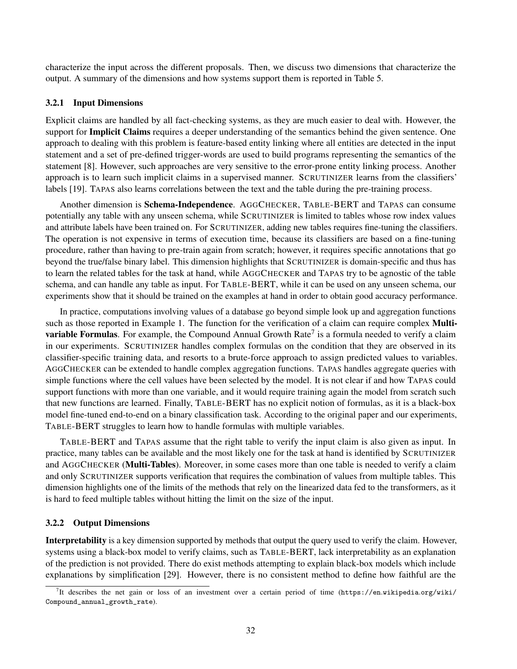characterize the input across the different proposals. Then, we discuss two dimensions that characterize the output. A summary of the dimensions and how systems support them is reported in Table 5.

#### 3.2.1 Input Dimensions

Explicit claims are handled by all fact-checking systems, as they are much easier to deal with. However, the support for **Implicit Claims** requires a deeper understanding of the semantics behind the given sentence. One approach to dealing with this problem is feature-based entity linking where all entities are detected in the input statement and a set of pre-defined trigger-words are used to build programs representing the semantics of the statement [8]. However, such approaches are very sensitive to the error-prone entity linking process. Another approach is to learn such implicit claims in a supervised manner. SCRUTINIZER learns from the classifiers' labels [19]. TAPAS also learns correlations between the text and the table during the pre-training process.

Another dimension is Schema-Independence. AGGCHECKER, TABLE-BERT and TAPAS can consume potentially any table with any unseen schema, while SCRUTINIZER is limited to tables whose row index values and attribute labels have been trained on. For SCRUTINIZER, adding new tables requires fine-tuning the classifiers. The operation is not expensive in terms of execution time, because its classifiers are based on a fine-tuning procedure, rather than having to pre-train again from scratch; however, it requires specific annotations that go beyond the true/false binary label. This dimension highlights that SCRUTINIZER is domain-specific and thus has to learn the related tables for the task at hand, while AGGCHECKER and TAPAS try to be agnostic of the table schema, and can handle any table as input. For TABLE-BERT, while it can be used on any unseen schema, our experiments show that it should be trained on the examples at hand in order to obtain good accuracy performance.

In practice, computations involving values of a database go beyond simple look up and aggregation functions such as those reported in Example 1. The function for the verification of a claim can require complex **Multivariable Formulas**. For example, the Compound Annual Growth Rate<sup>7</sup> is a formula needed to verify a claim in our experiments. SCRUTINIZER handles complex formulas on the condition that they are observed in its classifier-specific training data, and resorts to a brute-force approach to assign predicted values to variables. AGGCHECKER can be extended to handle complex aggregation functions. TAPAS handles aggregate queries with simple functions where the cell values have been selected by the model. It is not clear if and how TAPAS could support functions with more than one variable, and it would require training again the model from scratch such that new functions are learned. Finally, TABLE-BERT has no explicit notion of formulas, as it is a black-box model fine-tuned end-to-end on a binary classification task. According to the original paper and our experiments, TABLE-BERT struggles to learn how to handle formulas with multiple variables.

TABLE-BERT and TAPAS assume that the right table to verify the input claim is also given as input. In practice, many tables can be available and the most likely one for the task at hand is identified by SCRUTINIZER and AGGCHECKER (Multi-Tables). Moreover, in some cases more than one table is needed to verify a claim and only SCRUTINIZER supports verification that requires the combination of values from multiple tables. This dimension highlights one of the limits of the methods that rely on the linearized data fed to the transformers, as it is hard to feed multiple tables without hitting the limit on the size of the input.

#### 3.2.2 Output Dimensions

Interpretability is a key dimension supported by methods that output the query used to verify the claim. However, systems using a black-box model to verify claims, such as TABLE-BERT, lack interpretability as an explanation of the prediction is not provided. There do exist methods attempting to explain black-box models which include explanations by simplification [29]. However, there is no consistent method to define how faithful are the

<sup>&</sup>lt;sup>7</sup>It describes the net gain or loss of an investment over a certain period of time (https://en.wikipedia.org/wiki/ Compound\_annual\_growth\_rate).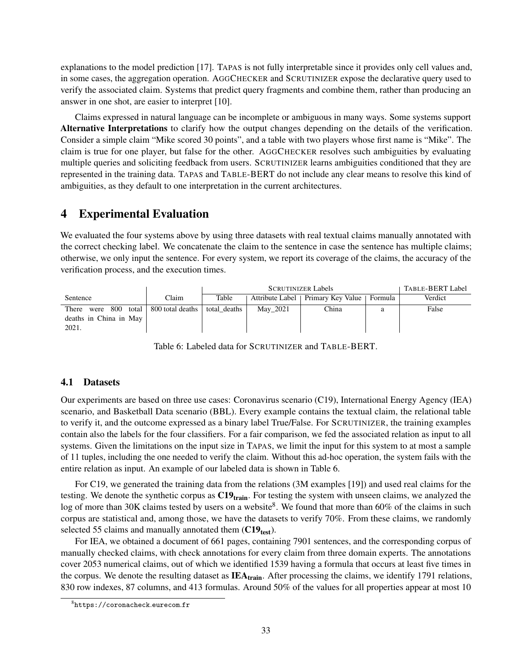explanations to the model prediction [17]. TAPAS is not fully interpretable since it provides only cell values and, in some cases, the aggregation operation. AGGCHECKER and SCRUTINIZER expose the declarative query used to verify the associated claim. Systems that predict query fragments and combine them, rather than producing an answer in one shot, are easier to interpret [10].

Claims expressed in natural language can be incomplete or ambiguous in many ways. Some systems support Alternative Interpretations to clarify how the output changes depending on the details of the verification. Consider a simple claim "Mike scored 30 points", and a table with two players whose first name is "Mike". The claim is true for one player, but false for the other. AGGCHECKER resolves such ambiguities by evaluating multiple queries and soliciting feedback from users. SCRUTINIZER learns ambiguities conditioned that they are represented in the training data. TAPAS and TABLE-BERT do not include any clear means to resolve this kind of ambiguities, as they default to one interpretation in the current architectures.

## 4 Experimental Evaluation

We evaluated the four systems above by using three datasets with real textual claims manually annotated with the correct checking label. We concatenate the claim to the sentence in case the sentence has multiple claims; otherwise, we only input the sentence. For every system, we report its coverage of the claims, the accuracy of the verification process, and the execution times.

|                                                           |                          | <b>SCRUTINIZER Labels</b> |          |                                     |         | TABLE-BERT Label |
|-----------------------------------------------------------|--------------------------|---------------------------|----------|-------------------------------------|---------|------------------|
| Sentence                                                  | Claim                    | Table                     |          | Attribute Label   Primary Key Value | Formula | Verdict          |
| - 800<br>There<br>were<br>deaths in China in May<br>2021. | total   800 total deaths | total deaths              | May_2021 | China                               | a       | False            |

Table 6: Labeled data for SCRUTINIZER and TABLE-BERT.

### 4.1 Datasets

Our experiments are based on three use cases: Coronavirus scenario (C19), International Energy Agency (IEA) scenario, and Basketball Data scenario (BBL). Every example contains the textual claim, the relational table to verify it, and the outcome expressed as a binary label True/False. For SCRUTINIZER, the training examples contain also the labels for the four classifiers. For a fair comparison, we fed the associated relation as input to all systems. Given the limitations on the input size in TAPAS, we limit the input for this system to at most a sample of 11 tuples, including the one needed to verify the claim. Without this ad-hoc operation, the system fails with the entire relation as input. An example of our labeled data is shown in Table 6.

For C19, we generated the training data from the relations (3M examples [19]) and used real claims for the testing. We denote the synthetic corpus as  $C19<sub>train</sub>$ . For testing the system with unseen claims, we analyzed the log of more than 30K claims tested by users on a website<sup>8</sup>. We found that more than 60% of the claims in such corpus are statistical and, among those, we have the datasets to verify 70%. From these claims, we randomly selected 55 claims and manually annotated them  $(C19_{test})$ .

For IEA, we obtained a document of 661 pages, containing 7901 sentences, and the corresponding corpus of manually checked claims, with check annotations for every claim from three domain experts. The annotations cover 2053 numerical claims, out of which we identified 1539 having a formula that occurs at least five times in the corpus. We denote the resulting dataset as  $IEA<sub>train</sub>$ . After processing the claims, we identify 1791 relations, 830 row indexes, 87 columns, and 413 formulas. Around 50% of the values for all properties appear at most 10

<sup>8</sup> https://coronacheck.eurecom.fr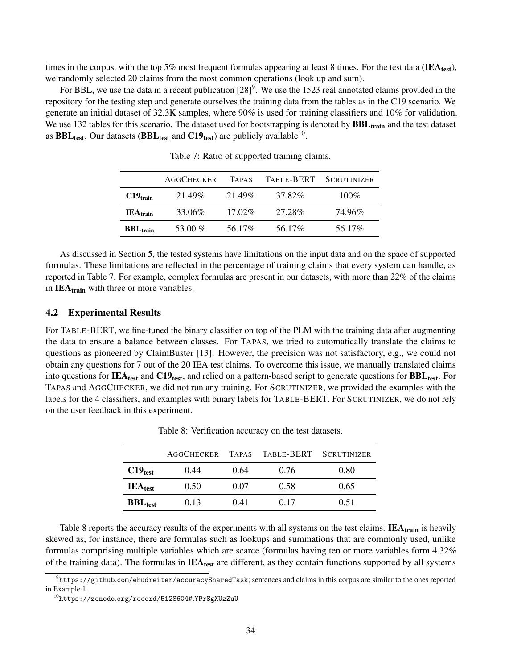times in the corpus, with the top 5% most frequent formulas appearing at least 8 times. For the test data (IEA<sub>test</sub>), we randomly selected 20 claims from the most common operations (look up and sum).

For BBL, we use the data in a recent publication  $[28]$ <sup>9</sup>. We use the 1523 real annotated claims provided in the repository for the testing step and generate ourselves the training data from the tables as in the C19 scenario. We generate an initial dataset of 32.3K samples, where 90% is used for training classifiers and 10% for validation. We use 132 tables for this scenario. The dataset used for bootstrapping is denoted by  $BBL<sub>train</sub>$  and the test dataset as  $\text{BBL}_{\text{test}}$ . Our datasets (BBL<sub>test</sub> and C19<sub>test</sub>) are publicly available<sup>10</sup>.

|                        | <b>AGGCHECKER</b> | <b>TAPAS</b> | TABLE-BERT | SCRUTINIZER |
|------------------------|-------------------|--------------|------------|-------------|
| $C19_{\text{train}}$   | 21.49%            | 21.49%       | 37.82%     | $100\%$     |
| $IEA_{train}$          | 33.06%            | $17.02\%$    | 27.28%     | 74.96%      |
| $BBL$ <sub>train</sub> | 53.00 $%$         | 56.17%       | 56.17%     | 56.17%      |

Table 7: Ratio of supported training claims.

As discussed in Section 5, the tested systems have limitations on the input data and on the space of supported formulas. These limitations are reflected in the percentage of training claims that every system can handle, as reported in Table 7. For example, complex formulas are present in our datasets, with more than 22% of the claims in  $IEA_{train}$  with three or more variables.

#### 4.2 Experimental Results

For TABLE-BERT, we fine-tuned the binary classifier on top of the PLM with the training data after augmenting the data to ensure a balance between classes. For TAPAS, we tried to automatically translate the claims to questions as pioneered by ClaimBuster [13]. However, the precision was not satisfactory, e.g., we could not obtain any questions for 7 out of the 20 IEA test claims. To overcome this issue, we manually translated claims into questions for IEA<sub>test</sub> and  $C19_{test}$ , and relied on a pattern-based script to generate questions for  $BBL_{test}$ . For TAPAS and AGGCHECKER, we did not run any training. For SCRUTINIZER, we provided the examples with the labels for the 4 classifiers, and examples with binary labels for TABLE-BERT. For SCRUTINIZER, we do not rely on the user feedback in this experiment.

|                       | <b>AGGCHECKER</b> |      | TAPAS TABLE-BERT SCRUTINIZER |      |
|-----------------------|-------------------|------|------------------------------|------|
| $C19_{test}$          | 0.44              | 0.64 | 0.76                         | 0.80 |
| $IEA_{test}$          | 0.50              | 0.07 | 0.58                         | 0.65 |
| $BBL$ <sub>test</sub> | 0.13              | 0.41 | 0.17                         | 0.51 |

Table 8: Verification accuracy on the test datasets.

Table 8 reports the accuracy results of the experiments with all systems on the test claims. **IEA**<sub>train</sub> is heavily skewed as, for instance, there are formulas such as lookups and summations that are commonly used, unlike formulas comprising multiple variables which are scarce (formulas having ten or more variables form 4.32% of the training data). The formulas in  $IEA_{test}$  are different, as they contain functions supported by all systems

 $^9$ https://github.com/ehudreiter/accuracySharedTask; sentences and claims in this corpus are similar to the ones reported in Example 1.

 $^{10}$ https://zenodo.org/record/5128604#.YPrSgXUzZuU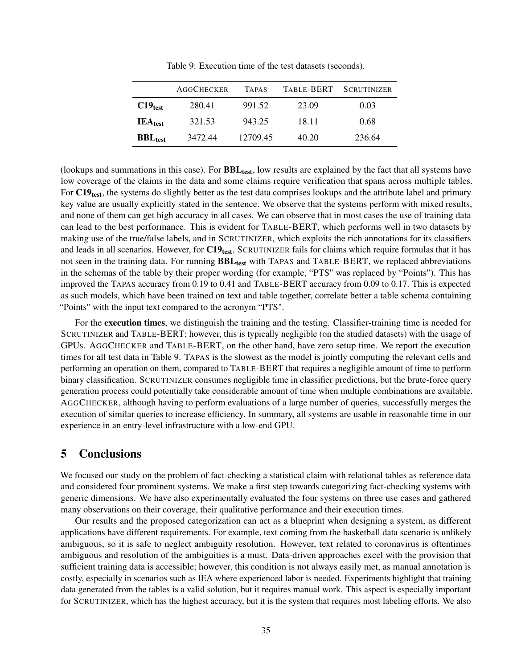|              | <b>AGGCHECKER</b> | <b>TAPAS</b> | TABLE-BERT | <b>SCRUTINIZER</b> |
|--------------|-------------------|--------------|------------|--------------------|
| $C19_{test}$ | 280.41            | 991.52       | 23.09      | 0.03               |
| $IEA_{test}$ | 321.53            | 943.25       | 18.11      | 0.68               |
| $BBL_{test}$ | 3472.44           | 12709.45     | 40.20      | 236.64             |

Table 9: Execution time of the test datasets (seconds).

(lookups and summations in this case). For  $BBL_{test}$ , low results are explained by the fact that all systems have low coverage of the claims in the data and some claims require verification that spans across multiple tables. For C19<sub>test</sub>, the systems do slightly better as the test data comprises lookups and the attribute label and primary key value are usually explicitly stated in the sentence. We observe that the systems perform with mixed results, and none of them can get high accuracy in all cases. We can observe that in most cases the use of training data can lead to the best performance. This is evident for TABLE-BERT, which performs well in two datasets by making use of the true/false labels, and in SCRUTINIZER, which exploits the rich annotations for its classifiers and leads in all scenarios. However, for  $C19_{test}$ , SCRUTINIZER fails for claims which require formulas that it has not seen in the training data. For running **BBL**<sub>test</sub> with TAPAS and TABLE-BERT, we replaced abbreviations in the schemas of the table by their proper wording (for example, "PTS" was replaced by "Points"). This has improved the TAPAS accuracy from 0.19 to 0.41 and TABLE-BERT accuracy from 0.09 to 0.17. This is expected as such models, which have been trained on text and table together, correlate better a table schema containing "Points" with the input text compared to the acronym "PTS".

For the execution times, we distinguish the training and the testing. Classifier-training time is needed for SCRUTINIZER and TABLE-BERT; however, this is typically negligible (on the studied datasets) with the usage of GPUs. AGGCHECKER and TABLE-BERT, on the other hand, have zero setup time. We report the execution times for all test data in Table 9. TAPAS is the slowest as the model is jointly computing the relevant cells and performing an operation on them, compared to TABLE-BERT that requires a negligible amount of time to perform binary classification. SCRUTINIZER consumes negligible time in classifier predictions, but the brute-force query generation process could potentially take considerable amount of time when multiple combinations are available. AGGCHECKER, although having to perform evaluations of a large number of queries, successfully merges the execution of similar queries to increase efficiency. In summary, all systems are usable in reasonable time in our experience in an entry-level infrastructure with a low-end GPU.

# 5 Conclusions

We focused our study on the problem of fact-checking a statistical claim with relational tables as reference data and considered four prominent systems. We make a first step towards categorizing fact-checking systems with generic dimensions. We have also experimentally evaluated the four systems on three use cases and gathered many observations on their coverage, their qualitative performance and their execution times.

Our results and the proposed categorization can act as a blueprint when designing a system, as different applications have different requirements. For example, text coming from the basketball data scenario is unlikely ambiguous, so it is safe to neglect ambiguity resolution. However, text related to coronavirus is oftentimes ambiguous and resolution of the ambiguities is a must. Data-driven approaches excel with the provision that sufficient training data is accessible; however, this condition is not always easily met, as manual annotation is costly, especially in scenarios such as IEA where experienced labor is needed. Experiments highlight that training data generated from the tables is a valid solution, but it requires manual work. This aspect is especially important for SCRUTINIZER, which has the highest accuracy, but it is the system that requires most labeling efforts. We also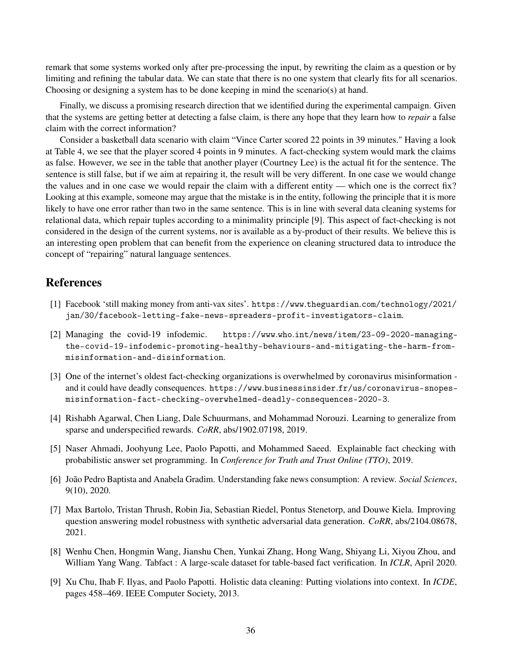remark that some systems worked only after pre-processing the input, by rewriting the claim as a question or by limiting and refining the tabular data. We can state that there is no one system that clearly fits for all scenarios. Choosing or designing a system has to be done keeping in mind the scenario(s) at hand.

Finally, we discuss a promising research direction that we identified during the experimental campaign. Given that the systems are getting better at detecting a false claim, is there any hope that they learn how to *repair* a false claim with the correct information?

Consider a basketball data scenario with claim "Vince Carter scored 22 points in 39 minutes." Having a look at Table 4, we see that the player scored 4 points in 9 minutes. A fact-checking system would mark the claims as false. However, we see in the table that another player (Courtney Lee) is the actual fit for the sentence. The sentence is still false, but if we aim at repairing it, the result will be very different. In one case we would change the values and in one case we would repair the claim with a different entity — which one is the correct fix? Looking at this example, someone may argue that the mistake is in the entity, following the principle that it is more likely to have one error rather than two in the same sentence. This is in line with several data cleaning systems for relational data, which repair tuples according to a minimality principle [9]. This aspect of fact-checking is not considered in the design of the current systems, nor is available as a by-product of their results. We believe this is an interesting open problem that can benefit from the experience on cleaning structured data to introduce the concept of "repairing" natural language sentences.

## References

- [1] Facebook 'still making money from anti-vax sites'. https://www.theguardian.com/technology/2021/ jan/30/facebook-letting-fake-news-spreaders-profit-investigators-claim.
- [2] Managing the covid-19 infodemic. https://www.who.int/news/item/23-09-2020-managingthe-covid-19-infodemic-promoting-healthy-behaviours-and-mitigating-the-harm-frommisinformation-and-disinformation.
- [3] One of the internet's oldest fact-checking organizations is overwhelmed by coronavirus misinformation and it could have deadly consequences. https://www.businessinsider.fr/us/coronavirus-snopesmisinformation-fact-checking-overwhelmed-deadly-consequences-2020-3.
- [4] Rishabh Agarwal, Chen Liang, Dale Schuurmans, and Mohammad Norouzi. Learning to generalize from sparse and underspecified rewards. *CoRR*, abs/1902.07198, 2019.
- [5] Naser Ahmadi, Joohyung Lee, Paolo Papotti, and Mohammed Saeed. Explainable fact checking with probabilistic answer set programming. In *Conference for Truth and Trust Online (TTO)*, 2019.
- [6] João Pedro Baptista and Anabela Gradim. Understanding fake news consumption: A review. *Social Sciences*, 9(10), 2020.
- [7] Max Bartolo, Tristan Thrush, Robin Jia, Sebastian Riedel, Pontus Stenetorp, and Douwe Kiela. Improving question answering model robustness with synthetic adversarial data generation. *CoRR*, abs/2104.08678, 2021.
- [8] Wenhu Chen, Hongmin Wang, Jianshu Chen, Yunkai Zhang, Hong Wang, Shiyang Li, Xiyou Zhou, and William Yang Wang. Tabfact : A large-scale dataset for table-based fact verification. In *ICLR*, April 2020.
- [9] Xu Chu, Ihab F. Ilyas, and Paolo Papotti. Holistic data cleaning: Putting violations into context. In *ICDE*, pages 458–469. IEEE Computer Society, 2013.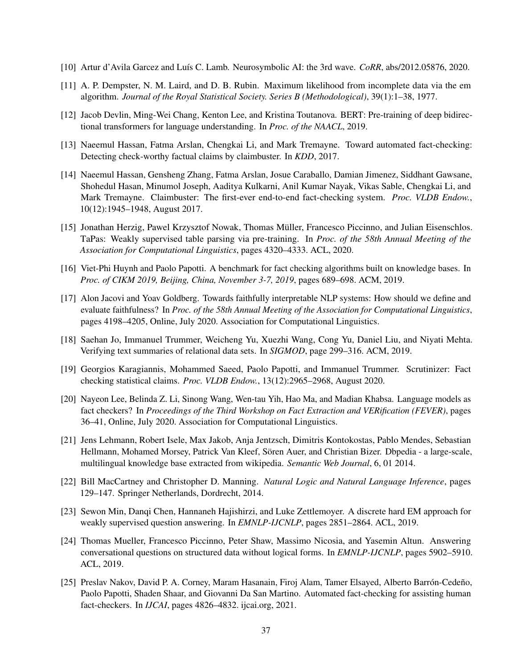- [10] Artur d'Avila Garcez and Luís C. Lamb. Neurosymbolic AI: the 3rd wave. *CoRR*, abs/2012.05876, 2020.
- [11] A. P. Dempster, N. M. Laird, and D. B. Rubin. Maximum likelihood from incomplete data via the em algorithm. *Journal of the Royal Statistical Society. Series B (Methodological)*, 39(1):1–38, 1977.
- [12] Jacob Devlin, Ming-Wei Chang, Kenton Lee, and Kristina Toutanova. BERT: Pre-training of deep bidirectional transformers for language understanding. In *Proc. of the NAACL*, 2019.
- [13] Naeemul Hassan, Fatma Arslan, Chengkai Li, and Mark Tremayne. Toward automated fact-checking: Detecting check-worthy factual claims by claimbuster. In *KDD*, 2017.
- [14] Naeemul Hassan, Gensheng Zhang, Fatma Arslan, Josue Caraballo, Damian Jimenez, Siddhant Gawsane, Shohedul Hasan, Minumol Joseph, Aaditya Kulkarni, Anil Kumar Nayak, Vikas Sable, Chengkai Li, and Mark Tremayne. Claimbuster: The first-ever end-to-end fact-checking system. *Proc. VLDB Endow.*, 10(12):1945–1948, August 2017.
- [15] Jonathan Herzig, Pawel Krzysztof Nowak, Thomas Müller, Francesco Piccinno, and Julian Eisenschlos. TaPas: Weakly supervised table parsing via pre-training. In *Proc. of the 58th Annual Meeting of the Association for Computational Linguistics*, pages 4320–4333. ACL, 2020.
- [16] Viet-Phi Huynh and Paolo Papotti. A benchmark for fact checking algorithms built on knowledge bases. In *Proc. of CIKM 2019, Beijing, China, November 3-7, 2019*, pages 689–698. ACM, 2019.
- [17] Alon Jacovi and Yoav Goldberg. Towards faithfully interpretable NLP systems: How should we define and evaluate faithfulness? In *Proc. of the 58th Annual Meeting of the Association for Computational Linguistics*, pages 4198–4205, Online, July 2020. Association for Computational Linguistics.
- [18] Saehan Jo, Immanuel Trummer, Weicheng Yu, Xuezhi Wang, Cong Yu, Daniel Liu, and Niyati Mehta. Verifying text summaries of relational data sets. In *SIGMOD*, page 299–316. ACM, 2019.
- [19] Georgios Karagiannis, Mohammed Saeed, Paolo Papotti, and Immanuel Trummer. Scrutinizer: Fact checking statistical claims. *Proc. VLDB Endow.*, 13(12):2965–2968, August 2020.
- [20] Nayeon Lee, Belinda Z. Li, Sinong Wang, Wen-tau Yih, Hao Ma, and Madian Khabsa. Language models as fact checkers? In *Proceedings of the Third Workshop on Fact Extraction and VERification (FEVER)*, pages 36–41, Online, July 2020. Association for Computational Linguistics.
- [21] Jens Lehmann, Robert Isele, Max Jakob, Anja Jentzsch, Dimitris Kontokostas, Pablo Mendes, Sebastian Hellmann, Mohamed Morsey, Patrick Van Kleef, Sören Auer, and Christian Bizer. Dbpedia - a large-scale, multilingual knowledge base extracted from wikipedia. *Semantic Web Journal*, 6, 01 2014.
- [22] Bill MacCartney and Christopher D. Manning. *Natural Logic and Natural Language Inference*, pages 129–147. Springer Netherlands, Dordrecht, 2014.
- [23] Sewon Min, Danqi Chen, Hannaneh Hajishirzi, and Luke Zettlemoyer. A discrete hard EM approach for weakly supervised question answering. In *EMNLP-IJCNLP*, pages 2851–2864. ACL, 2019.
- [24] Thomas Mueller, Francesco Piccinno, Peter Shaw, Massimo Nicosia, and Yasemin Altun. Answering conversational questions on structured data without logical forms. In *EMNLP-IJCNLP*, pages 5902–5910. ACL, 2019.
- [25] Preslav Nakov, David P. A. Corney, Maram Hasanain, Firoj Alam, Tamer Elsayed, Alberto Barrón-Cedeño, Paolo Papotti, Shaden Shaar, and Giovanni Da San Martino. Automated fact-checking for assisting human fact-checkers. In *IJCAI*, pages 4826–4832. ijcai.org, 2021.